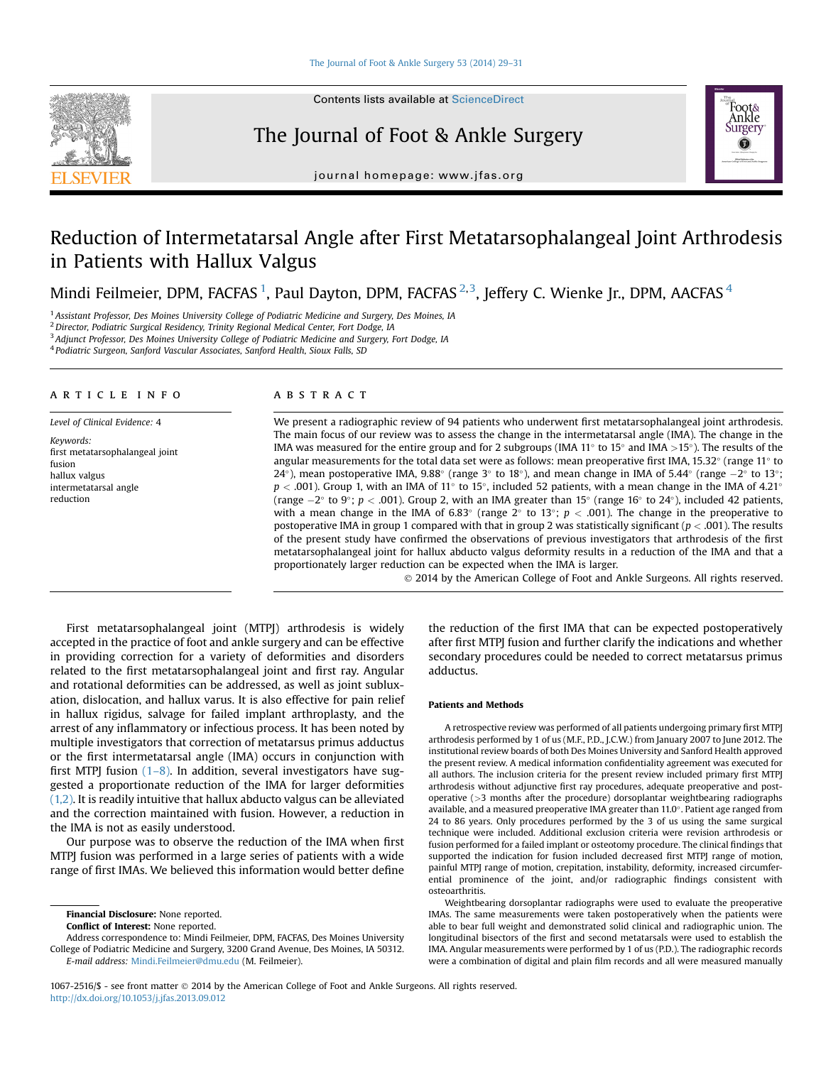

**Contents lists available at ScienceDirect** 

## The Journal of Foot & Ankle Surgery



journal homepage: [www.jfas.org](http://www.jfas.org)

# Reduction of Intermetatarsal Angle after First Metatarsophalangeal Joint Arthrodesis in Patients with Hallux Valgus

Mindi Feilmeier, DPM, FACFAS  $^1$ , Paul Dayton, DPM, FACFAS  $^{2,3}$ , Jeffery C. Wienke Jr., DPM, AACFAS  $^4$ 

<sup>1</sup> Assistant Professor, Des Moines University College of Podiatric Medicine and Surgery, Des Moines, IA

<sup>2</sup> Director, Podiatric Surgical Residency, Trinity Regional Medical Center, Fort Dodge, IA

<sup>3</sup> Adjunct Professor, Des Moines University College of Podiatric Medicine and Surgery, Fort Dodge, IA

<sup>4</sup> Podiatric Surgeon, Sanford Vascular Associates, Sanford Health, Sioux Falls, SD

## article info

Level of Clinical Evidence: 4 Keywords: first metatarsophalangeal joint fusion hallux valgus intermetatarsal angle

reduction

## **ABSTRACT**

We present a radiographic review of 94 patients who underwent first metatarsophalangeal joint arthrodesis. The main focus of our review was to assess the change in the intermetatarsal angle (IMA). The change in the IMA was measured for the entire group and for 2 subgroups (IMA 11° to 15° and IMA >15°). The results of the angular measurements for the total data set were as follows: mean preoperative first IMA, 15.32 $\degree$  (range 11 $\degree$  to 24°), mean postoperative IMA, 9.88° (range 3° to 18°), and mean change in IMA of 5.44° (range  $-2^\circ$  to 13°;  $p < .001$ ). Group 1, with an IMA of 11° to 15°, included 52 patients, with a mean change in the IMA of 4.21° (range  $-2^{\circ}$  to  $9^{\circ}$ ;  $p < .001$ ). Group 2, with an IMA greater than 15° (range 16° to 24°), included 42 patients, with a mean change in the IMA of 6.83 $\degree$  (range 2 $\degree$  to 13 $\degree$ ; p < .001). The change in the preoperative to postoperative IMA in group 1 compared with that in group 2 was statistically significant ( $p < .001$ ). The results of the present study have confirmed the observations of previous investigators that arthrodesis of the first metatarsophalangeal joint for hallux abducto valgus deformity results in a reduction of the IMA and that a proportionately larger reduction can be expected when the IMA is larger.

2014 by the American College of Foot and Ankle Surgeons. All rights reserved.

First metatarsophalangeal joint (MTPJ) arthrodesis is widely accepted in the practice of foot and ankle surgery and can be effective in providing correction for a variety of deformities and disorders related to the first metatarsophalangeal joint and first ray. Angular and rotational deformities can be addressed, as well as joint subluxation, dislocation, and hallux varus. It is also effective for pain relief in hallux rigidus, salvage for failed implant arthroplasty, and the arrest of any inflammatory or infectious process. It has been noted by multiple investigators that correction of metatarsus primus adductus or the first intermetatarsal angle (IMA) occurs in conjunction with first MTPJ fusion  $(1-8)$ . In addition, several investigators have suggested a proportionate reduction of the IMA for larger deformities  $(1,2)$ . It is readily intuitive that hallux abducto valgus can be alleviated and the correction maintained with fusion. However, a reduction in the IMA is not as easily understood.

Our purpose was to observe the reduction of the IMA when first MTPJ fusion was performed in a large series of patients with a wide range of first IMAs. We believed this information would better define

1067-2516/\$ - see front matter 2014 by the American College of Foot and Ankle Surgeons. All rights reserved. <http://dx.doi.org/10.1053/j.jfas.2013.09.012>

the reduction of the first IMA that can be expected postoperatively after first MTPJ fusion and further clarify the indications and whether secondary procedures could be needed to correct metatarsus primus adductus.

#### Patients and Methods

A retrospective review was performed of all patients undergoing primary first MTPJ arthrodesis performed by 1 of us (M.F., P.D., J.C.W.) from January 2007 to June 2012. The institutional review boards of both Des Moines University and Sanford Health approved the present review. A medical information confidentiality agreement was executed for all authors. The inclusion criteria for the present review included primary first MTPJ arthrodesis without adjunctive first ray procedures, adequate preoperative and postoperative (>3 months after the procedure) dorsoplantar weightbearing radiographs available, and a measured preoperative IMA greater than 11.0°. Patient age ranged from 24 to 86 years. Only procedures performed by the 3 of us using the same surgical technique were included. Additional exclusion criteria were revision arthrodesis or fusion performed for a failed implant or osteotomy procedure. The clinical findings that supported the indication for fusion included decreased first MTPJ range of motion, painful MTPJ range of motion, crepitation, instability, deformity, increased circumferential prominence of the joint, and/or radiographic findings consistent with osteoarthritis.

Weightbearing dorsoplantar radiographs were used to evaluate the preoperative IMAs. The same measurements were taken postoperatively when the patients were able to bear full weight and demonstrated solid clinical and radiographic union. The longitudinal bisectors of the first and second metatarsals were used to establish the IMA. Angular measurements were performed by 1 of us (P.D.). The radiographic records were a combination of digital and plain film records and all were measured manually

Financial Disclosure: None reported.

Conflict of Interest: None reported.

Address correspondence to: Mindi Feilmeier, DPM, FACFAS, Des Moines University College of Podiatric Medicine and Surgery, 3200 Grand Avenue, Des Moines, IA 50312. E-mail address: [Mindi.Feilmeier@dmu.edu](mailto:Mindi.Feilmeier@dmu.edu) (M. Feilmeier).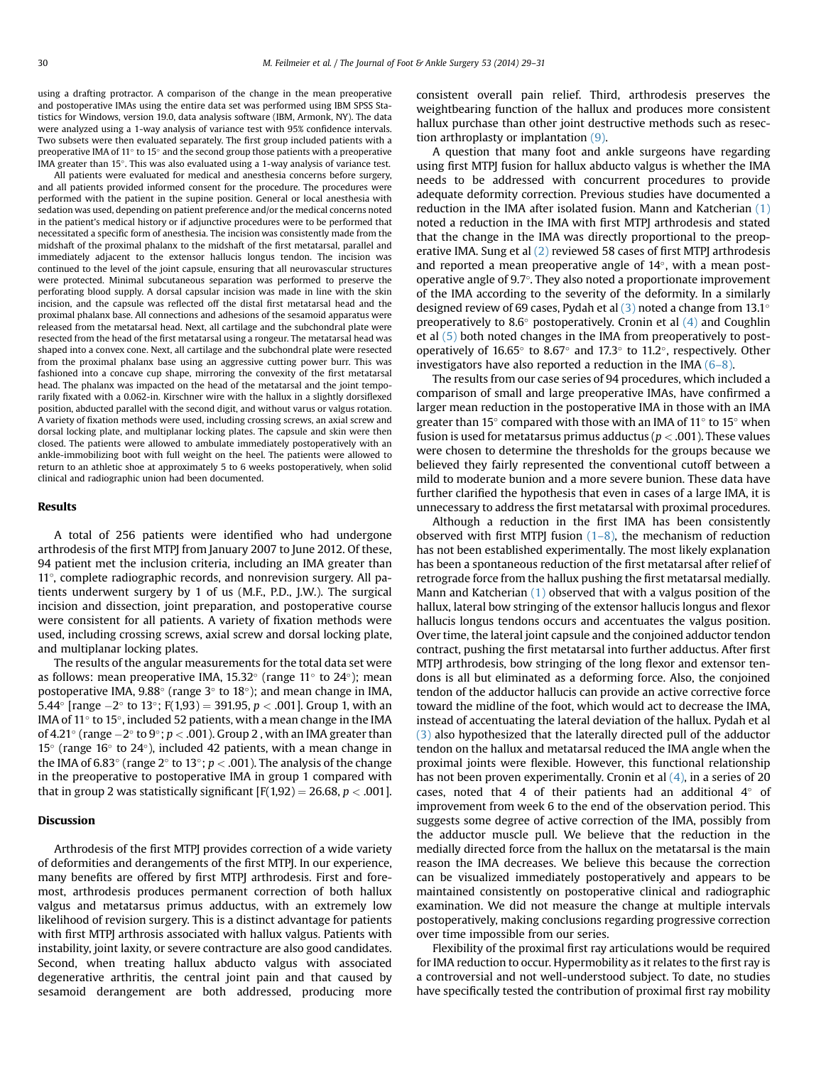using a drafting protractor. A comparison of the change in the mean preoperative and postoperative IMAs using the entire data set was performed using IBM SPSS Statistics for Windows, version 19.0, data analysis software (IBM, Armonk, NY). The data were analyzed using a 1-way analysis of variance test with 95% confidence intervals. Two subsets were then evaluated separately. The first group included patients with a preoperative IMA of  $11^{\circ}$  to  $15^{\circ}$  and the second group those patients with a preoperative IMA greater than  $15^{\circ}$ . This was also evaluated using a 1-way analysis of variance test.

All patients were evaluated for medical and anesthesia concerns before surgery, and all patients provided informed consent for the procedure. The procedures were performed with the patient in the supine position. General or local anesthesia with sedation was used, depending on patient preference and/or the medical concerns noted in the patient's medical history or if adjunctive procedures were to be performed that necessitated a specific form of anesthesia. The incision was consistently made from the midshaft of the proximal phalanx to the midshaft of the first metatarsal, parallel and immediately adjacent to the extensor hallucis longus tendon. The incision was continued to the level of the joint capsule, ensuring that all neurovascular structures were protected. Minimal subcutaneous separation was performed to preserve the perforating blood supply. A dorsal capsular incision was made in line with the skin incision, and the capsule was reflected off the distal first metatarsal head and the proximal phalanx base. All connections and adhesions of the sesamoid apparatus were released from the metatarsal head. Next, all cartilage and the subchondral plate were resected from the head of the first metatarsal using a rongeur. The metatarsal head was shaped into a convex cone. Next, all cartilage and the subchondral plate were resected from the proximal phalanx base using an aggressive cutting power burr. This was fashioned into a concave cup shape, mirroring the convexity of the first metatarsal head. The phalanx was impacted on the head of the metatarsal and the joint temporarily fixated with a 0.062-in. Kirschner wire with the hallux in a slightly dorsiflexed position, abducted parallel with the second digit, and without varus or valgus rotation. A variety of fixation methods were used, including crossing screws, an axial screw and dorsal locking plate, and multiplanar locking plates. The capsule and skin were then closed. The patients were allowed to ambulate immediately postoperatively with an ankle-immobilizing boot with full weight on the heel. The patients were allowed to return to an athletic shoe at approximately 5 to 6 weeks postoperatively, when solid clinical and radiographic union had been documented.

## Results

A total of 256 patients were identified who had undergone arthrodesis of the first MTPJ from January 2007 to June 2012. Of these, 94 patient met the inclusion criteria, including an IMA greater than 11 , complete radiographic records, and nonrevision surgery. All patients underwent surgery by 1 of us (M.F., P.D., J.W.). The surgical incision and dissection, joint preparation, and postoperative course were consistent for all patients. A variety of fixation methods were used, including crossing screws, axial screw and dorsal locking plate, and multiplanar locking plates.

The results of the angular measurements for the total data set were as follows: mean preoperative IMA,  $15.32^{\circ}$  (range  $11^{\circ}$  to  $24^{\circ}$ ); mean postoperative IMA,  $9.88^{\circ}$  (range 3 $^{\circ}$  to 18 $^{\circ}$ ); and mean change in IMA, 5.44 $\degree$  [range  $-2\degree$  to 13 $\degree$ ; F(1,93) = 391.95, p < .001]. Group 1, with an IMA of 11 $\degree$  to 15 $\degree$ , included 52 patients, with a mean change in the IMA of 4.21 $\degree$  (range  $-2\degree$  to 9 $\degree$ ;  $p < .001$ ). Group 2, with an IMA greater than  $15^{\circ}$  (range 16 $^{\circ}$  to 24 $^{\circ}$ ), included 42 patients, with a mean change in the IMA of 6.83 $\degree$  (range 2 $\degree$  to 13 $\degree$ ; p < .001). The analysis of the change in the preoperative to postoperative IMA in group 1 compared with that in group 2 was statistically significant  $[F(1,92) = 26.68, p < .001]$ .

## Discussion

Arthrodesis of the first MTPJ provides correction of a wide variety of deformities and derangements of the first MTPJ. In our experience, many benefits are offered by first MTPJ arthrodesis. First and foremost, arthrodesis produces permanent correction of both hallux valgus and metatarsus primus adductus, with an extremely low likelihood of revision surgery. This is a distinct advantage for patients with first MTPJ arthrosis associated with hallux valgus. Patients with instability, joint laxity, or severe contracture are also good candidates. Second, when treating hallux abducto valgus with associated degenerative arthritis, the central joint pain and that caused by sesamoid derangement are both addressed, producing more consistent overall pain relief. Third, arthrodesis preserves the weightbearing function of the hallux and produces more consistent hallux purchase than other joint destructive methods such as resection arthroplasty or implantation [\(9\).](#page-2-0)

A question that many foot and ankle surgeons have regarding using first MTPJ fusion for hallux abducto valgus is whether the IMA needs to be addressed with concurrent procedures to provide adequate deformity correction. Previous studies have documented a reduction in the IMA after isolated fusion. Mann and Katcherian [\(1\)](#page-2-0) noted a reduction in the IMA with first MTPJ arthrodesis and stated that the change in the IMA was directly proportional to the preoperative IMA. Sung et al  $(2)$  reviewed 58 cases of first MTPJ arthrodesis and reported a mean preoperative angle of  $14^{\circ}$ , with a mean postoperative angle of 9.7 . They also noted a proportionate improvement of the IMA according to the severity of the deformity. In a similarly designed review of 69 cases, Pydah et al  $(3)$  noted a change from 13.1 $\degree$ preoperatively to 8.6 $\degree$  postoperatively. Cronin et al [\(4\)](#page-2-0) and Coughlin et al [\(5\)](#page-2-0) both noted changes in the IMA from preoperatively to postoperatively of 16.65 $^{\circ}$  to 8.67 $^{\circ}$  and 17.3 $^{\circ}$  to 11.2 $^{\circ}$ , respectively. Other investigators have also reported a reduction in the IMA  $(6-8)$  $(6-8)$ .

The results from our case series of 94 procedures, which included a comparison of small and large preoperative IMAs, have confirmed a larger mean reduction in the postoperative IMA in those with an IMA greater than 15 $\degree$  compared with those with an IMA of 11 $\degree$  to 15 $\degree$  when fusion is used for metatarsus primus adductus ( $p < .001$ ). These values were chosen to determine the thresholds for the groups because we believed they fairly represented the conventional cutoff between a mild to moderate bunion and a more severe bunion. These data have further clarified the hypothesis that even in cases of a large IMA, it is unnecessary to address the first metatarsal with proximal procedures.

Although a reduction in the first IMA has been consistently observed with first MTPJ fusion  $(1–8)$ , the mechanism of reduction has not been established experimentally. The most likely explanation has been a spontaneous reduction of the first metatarsal after relief of retrograde force from the hallux pushing the first metatarsal medially. Mann and Katcherian [\(1\)](#page-2-0) observed that with a valgus position of the hallux, lateral bow stringing of the extensor hallucis longus and flexor hallucis longus tendons occurs and accentuates the valgus position. Over time, the lateral joint capsule and the conjoined adductor tendon contract, pushing the first metatarsal into further adductus. After first MTPJ arthrodesis, bow stringing of the long flexor and extensor tendons is all but eliminated as a deforming force. Also, the conjoined tendon of the adductor hallucis can provide an active corrective force toward the midline of the foot, which would act to decrease the IMA, instead of accentuating the lateral deviation of the hallux. Pydah et al [\(3\)](#page-2-0) also hypothesized that the laterally directed pull of the adductor tendon on the hallux and metatarsal reduced the IMA angle when the proximal joints were flexible. However, this functional relationship has not been proven experimentally. Cronin et al [\(4\),](#page-2-0) in a series of 20 cases, noted that 4 of their patients had an additional  $4^\circ$  of improvement from week 6 to the end of the observation period. This suggests some degree of active correction of the IMA, possibly from the adductor muscle pull. We believe that the reduction in the medially directed force from the hallux on the metatarsal is the main reason the IMA decreases. We believe this because the correction can be visualized immediately postoperatively and appears to be maintained consistently on postoperative clinical and radiographic examination. We did not measure the change at multiple intervals postoperatively, making conclusions regarding progressive correction over time impossible from our series.

Flexibility of the proximal first ray articulations would be required for IMA reduction to occur. Hypermobility as it relates to the first ray is a controversial and not well-understood subject. To date, no studies have specifically tested the contribution of proximal first ray mobility